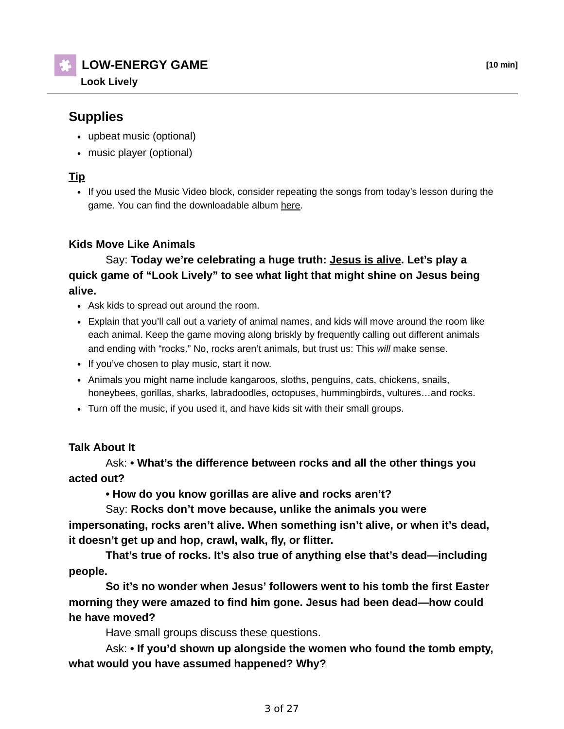**LOW-ENERGY GAME [10 min]**

**Look Lively**

## **Supplies**

- upbeat music (optional)
- music player (optional)

## **Tip**

• If you used the Music Video block, consider repeating the songs from today's lesson during the game. You can find the downloadable album here.

### **Kids Move Like Animals**

 Say: **Today we're celebrating a huge truth: Jesus is alive. Let's play a quick game of "Look Lively" to see what light that might shine on Jesus being alive.** 

- Ask kids to spread out around the room.
- Explain that you'll call out a variety of animal names, and kids will move around the room like each animal. Keep the game moving along briskly by frequently calling out different animals and ending with "rocks." No, rocks aren't animals, but trust us: This *will* make sense.
- If you've chosen to play music, start it now.
- Animals you might name include kangaroos, sloths, penguins, cats, chickens, snails, honeybees, gorillas, sharks, labradoodles, octopuses, hummingbirds, vultures…and rocks.
- Turn off the music, if you used it, and have kids sit with their small groups.

#### **Talk About It**

 Ask: **• What's the difference between rocks and all the other things you acted out?**

 **• How do you know gorillas are alive and rocks aren't?**

 Say: **Rocks don't move because, unlike the animals you were impersonating, rocks aren't alive. When something isn't alive, or when it's dead, it doesn't get up and hop, crawl, walk, fly, or flitter.**

 **That's true of rocks. It's also true of anything else that's dead—including people.**

 **So it's no wonder when Jesus' followers went to his tomb the first Easter morning they were amazed to find him gone. Jesus had been dead—how could he have moved?**

Have small groups discuss these questions.

 Ask: **• If you'd shown up alongside the women who found the tomb empty, what would you have assumed happened? Why?**